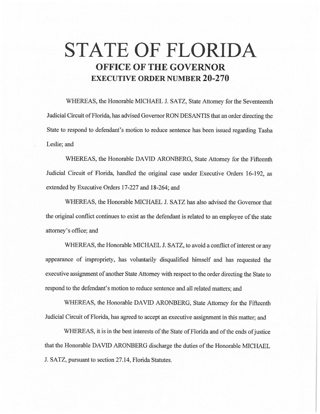# **STATE OF FLORIDA OFFICE OF THE GOVERNOR EXECUTIVE ORDER NUMBER 20-270**

WHEREAS, the Honorable MICHAEL J. SATZ, State Attorney for the Seventeenth Judicial Circuit of Florida, has advised Governor RON DESANTIS that an order directing the State to respond to defendant's motion to reduce sentence has been issued regarding Tasha Leslie; and

WHEREAS, the Honorable DAVID ARONBERG, State Attorney for the Fifteenth Judicial Circuit of Florida, handled the original case under Executive Orders 16-192, as extended by Executive Orders 17-227 and 18-264; and

WHEREAS, the Honorable MICHAEL J. SATZ has also advised the Governor that the original conflict continues to exist as the defendant is related to an employee of the state attomey'soffice;and

WHEREAS, the Honorable MICHAEL J. SATZ, to avoid a conflict of interest or any appearance of impropriety, has voluntarily disqualified himself and has requested the executive assignment of another State Attorney with respect to the order directing the State to respond to the defendant's motion to reduce sentence and all related matters; and

WHEREAS, the Honorable DAVID ARONBERG, State Attorney for the Fifteenth Judicial Circuit of Florida, has agreed to accept an executive assignment in this matter; and

WHEREAS, it is in the best interests of the State of Florida and of the ends of justice that the Honorable DAVID ARONBERG discharge the duties of the Honorable MICHAEL J. SATZ, pursuant to section 27.14, Florida Statutes.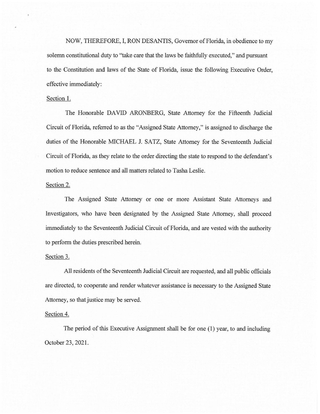NOW, THEREFORE, I, RON DESANTIS, Governor of Florida, in obedience to my solemn constitutional duty to "take care that the laws be faithfully executed," and pursuant to the Constitution and laws of the State of Florida, issue the following Executive Order, effective immediately:

#### Section 1.

The Honorable DAVID ARONBERG, State Attorney for the Fifteenth Judicial Circuit of Florida, referred to as the "Assigned State Attorney," is assigned to discharge the duties of the Honorable MICHAEL J. SATZ, State Attorney for the Seventeenth Judicial Circuit of Florida, as they relate to the order directing the state to respond to the defendant's motion to reduce sentence and all matters related to Tasha Leslie.

### Section 2.

The Assigned State Attorney or one or more Assistant State Attorneys and Investigators, who have been designated by the Assigned State Attorney, shall proceed immediately to the Seventeenth Judicial Circuit of Florida, and are vested with the authority to perform the duties prescribed herein.

### Section 3.

All residents of the Seventeenth Judicial Circuit are requested, and all public officials are directed, to cooperate and render whatever assistance is necessary to the Assigned State Attorney, so that justice may be served.

## Section 4.

The period of this Executive Assignment shall be for one (1) year, to and including October 23, 2021.